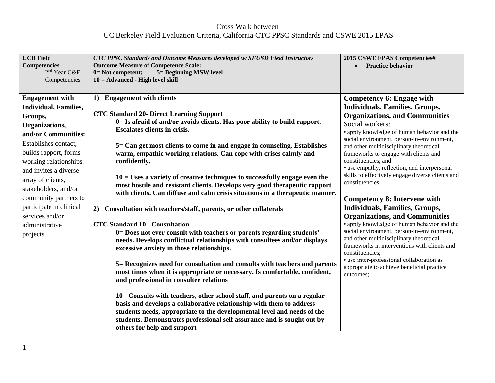## Cross Walk between UC Berkeley Field Evaluation Criteria, California CTC PPSC Standards and CSWE 2015 EPAS

| <b>UCB Field</b><br><b>Competencies</b><br>2 <sup>nd</sup> Year C&F<br>Competencies                                                                                                                                                                                                                                                                               | <b>CTC PPSC Standards and Outcome Measures developed w/SFUSD Field Instructors</b><br><b>Outcome Measure of Competence Scale:</b><br>$0 = Not$ competent;<br>5 = Beginning MSW level<br>$10 = Advanced - High level skill$                                                                                                                                                                                                                                                                                                                                                                                                                                                                                                                                                                                                                                                                                                                                                                                                                                                                                                                                                                                                                                                                                                                                                                                                                                                 | 2015 CSWE EPAS Competencies#<br>• Practice behavior                                                                                                                                                                                                                                                                                                                                                                                                                                                                                                                                                                                                                                                                                                                                                                                                                                                      |
|-------------------------------------------------------------------------------------------------------------------------------------------------------------------------------------------------------------------------------------------------------------------------------------------------------------------------------------------------------------------|----------------------------------------------------------------------------------------------------------------------------------------------------------------------------------------------------------------------------------------------------------------------------------------------------------------------------------------------------------------------------------------------------------------------------------------------------------------------------------------------------------------------------------------------------------------------------------------------------------------------------------------------------------------------------------------------------------------------------------------------------------------------------------------------------------------------------------------------------------------------------------------------------------------------------------------------------------------------------------------------------------------------------------------------------------------------------------------------------------------------------------------------------------------------------------------------------------------------------------------------------------------------------------------------------------------------------------------------------------------------------------------------------------------------------------------------------------------------------|----------------------------------------------------------------------------------------------------------------------------------------------------------------------------------------------------------------------------------------------------------------------------------------------------------------------------------------------------------------------------------------------------------------------------------------------------------------------------------------------------------------------------------------------------------------------------------------------------------------------------------------------------------------------------------------------------------------------------------------------------------------------------------------------------------------------------------------------------------------------------------------------------------|
| <b>Engagement with</b><br><b>Individual, Families,</b><br>Groups,<br>Organizations,<br>and/or Communities:<br>Establishes contact,<br>builds rapport, forms<br>working relationships,<br>and invites a diverse<br>array of clients,<br>stakeholders, and/or<br>community partners to<br>participate in clinical<br>services and/or<br>administrative<br>projects. | <b>Engagement with clients</b><br>$\bf{1}$<br><b>CTC Standard 20- Direct Learning Support</b><br>0= Is afraid of and/or avoids clients. Has poor ability to build rapport.<br><b>Escalates clients in crisis.</b><br>5 = Can get most clients to come in and engage in counseling. Establishes<br>warm, empathic working relations. Can cope with crises calmly and<br>confidently.<br>$10 =$ Uses a variety of creative techniques to successfully engage even the<br>most hostile and resistant clients. Develops very good therapeutic rapport<br>with clients. Can diffuse and calm crisis situations in a therapeutic manner.<br>Consultation with teachers/staff, parents, or other collaterals<br>2)<br><b>CTC Standard 10 - Consultation</b><br>0= Does not ever consult with teachers or parents regarding students'<br>needs. Develops conflictual relationships with consultees and/or displays<br>excessive anxiety in those relationships.<br>5 = Recognizes need for consultation and consults with teachers and parents<br>most times when it is appropriate or necessary. Is comfortable, confident,<br>and professional in consultee relations<br>10 = Consults with teachers, other school staff, and parents on a regular<br>basis and develops a collaborative relationship with them to address<br>students needs, appropriate to the developmental level and needs of the<br>students. Demonstrates professional self assurance and is sought out by | Competency 6: Engage with<br><b>Individuals, Families, Groups,</b><br><b>Organizations, and Communities</b><br>Social workers:<br>• apply knowledge of human behavior and the<br>social environment, person-in-environment,<br>and other multidisciplinary theoretical<br>frameworks to engage with clients and<br>constituencies; and<br>• use empathy, reflection, and interpersonal<br>skills to effectively engage diverse clients and<br>constituencies<br><b>Competency 8: Intervene with</b><br><b>Individuals, Families, Groups,</b><br><b>Organizations, and Communities</b><br>• apply knowledge of human behavior and the<br>social environment, person-in-environment,<br>and other multidisciplinary theoretical<br>frameworks in interventions with clients and<br>constituencies;<br>• use inter-professional collaboration as<br>appropriate to achieve beneficial practice<br>outcomes; |
|                                                                                                                                                                                                                                                                                                                                                                   | others for help and support                                                                                                                                                                                                                                                                                                                                                                                                                                                                                                                                                                                                                                                                                                                                                                                                                                                                                                                                                                                                                                                                                                                                                                                                                                                                                                                                                                                                                                                |                                                                                                                                                                                                                                                                                                                                                                                                                                                                                                                                                                                                                                                                                                                                                                                                                                                                                                          |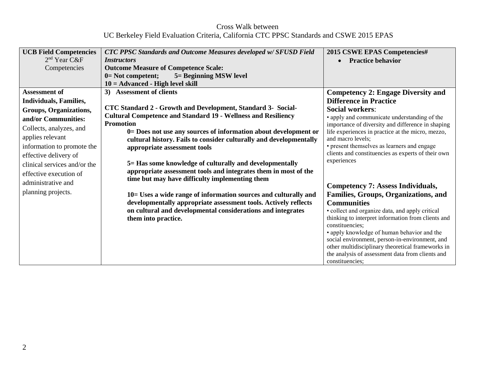Cross Walk between UC Berkeley Field Evaluation Criteria, California CTC PPSC Standards and CSWE 2015 EPAS

| <b>UCB Field Competencies</b> | <b>CTC PPSC Standards and Outcome Measures developed w/ SFUSD Field</b> | 2015 CSWE EPAS Competencies#                                                                  |
|-------------------------------|-------------------------------------------------------------------------|-----------------------------------------------------------------------------------------------|
| 2 <sup>nd</sup> Year C&F      | <i><b>Instructors</b></i>                                               | <b>Practice behavior</b>                                                                      |
| Competencies                  | <b>Outcome Measure of Competence Scale:</b>                             |                                                                                               |
|                               | 5 = Beginning MSW level<br>$0=$ Not competent;                          |                                                                                               |
|                               | $10 = Advanced - High level skill$                                      |                                                                                               |
| <b>Assessment of</b>          | <b>Assessment of clients</b><br>3)                                      | <b>Competency 2: Engage Diversity and</b>                                                     |
| Individuals, Families,        |                                                                         | <b>Difference in Practice</b>                                                                 |
| Groups, Organizations,        | CTC Standard 2 - Growth and Development, Standard 3- Social-            | <b>Social workers:</b>                                                                        |
| and/or Communities:           | <b>Cultural Competence and Standard 19 - Wellness and Resiliency</b>    | • apply and communicate understanding of the                                                  |
|                               | <b>Promotion</b>                                                        | importance of diversity and difference in shaping                                             |
| Collects, analyzes, and       | 0= Does not use any sources of information about development or         | life experiences in practice at the micro, mezzo,                                             |
| applies relevant              | cultural history. Fails to consider culturally and developmentally      | and macro levels;                                                                             |
| information to promote the    | appropriate assessment tools                                            | • present themselves as learners and engage                                                   |
| effective delivery of         |                                                                         | clients and constituencies as experts of their own<br>experiences                             |
| clinical services and/or the  | 5 = Has some knowledge of culturally and developmentally                |                                                                                               |
| effective execution of        | appropriate assessment tools and integrates them in most of the         |                                                                                               |
| administrative and            | time but may have difficulty implementing them                          |                                                                                               |
| planning projects.            |                                                                         | <b>Competency 7: Assess Individuals,</b>                                                      |
|                               | 10 = Uses a wide range of information sources and culturally and        | <b>Families, Groups, Organizations, and</b>                                                   |
|                               | developmentally appropriate assessment tools. Actively reflects         | <b>Communities</b>                                                                            |
|                               | on cultural and developmental considerations and integrates             | • collect and organize data, and apply critical                                               |
|                               | them into practice.                                                     | thinking to interpret information from clients and                                            |
|                               |                                                                         | constituencies;                                                                               |
|                               |                                                                         | • apply knowledge of human behavior and the<br>social environment, person-in-environment, and |
|                               |                                                                         | other multidisciplinary theoretical frameworks in                                             |
|                               |                                                                         | the analysis of assessment data from clients and                                              |
|                               |                                                                         | constituencies;                                                                               |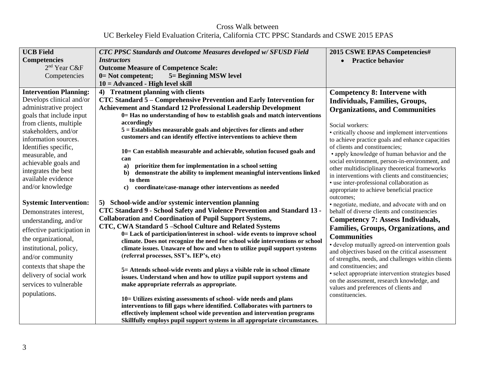Cross Walk between UC Berkeley Field Evaluation Criteria, California CTC PPSC Standards and CSWE 2015 EPAS

| <b>UCB Field</b>              | <b>CTC PPSC Standards and Outcome Measures developed w/ SFUSD Field</b>                                                                           | 2015 CSWE EPAS Competencies#                                                            |
|-------------------------------|---------------------------------------------------------------------------------------------------------------------------------------------------|-----------------------------------------------------------------------------------------|
| <b>Competencies</b>           | <i>Instructors</i>                                                                                                                                | <b>Practice behavior</b>                                                                |
| 2 <sup>nd</sup> Year C&F      | <b>Outcome Measure of Competence Scale:</b>                                                                                                       |                                                                                         |
| Competencies                  | $0 = Not$ competent;<br>5 = Beginning MSW level                                                                                                   |                                                                                         |
|                               | $10 = Advanced - High level skill$                                                                                                                |                                                                                         |
| <b>Intervention Planning:</b> | 4) Treatment planning with clients                                                                                                                | <b>Competency 8: Intervene with</b>                                                     |
| Develops clinical and/or      | CTC Standard 5 – Comprehensive Prevention and Early Intervention for                                                                              | <b>Individuals, Families, Groups,</b>                                                   |
| administrative project        | <b>Achievement and Standard 12 Professional Leadership Development</b>                                                                            | <b>Organizations, and Communities</b>                                                   |
| goals that include input      | 0= Has no understanding of how to establish goals and match interventions                                                                         |                                                                                         |
| from clients, multiple        | accordingly                                                                                                                                       | Social workers:                                                                         |
| stakeholders, and/or          | $5 =$ Establishes measurable goals and objectives for clients and other                                                                           | • critically choose and implement interventions                                         |
| information sources.          | customers and can identify effective interventions to achieve them                                                                                | to achieve practice goals and enhance capacities                                        |
| Identifies specific,          |                                                                                                                                                   | of clients and constituencies;                                                          |
| measurable, and               | 10 = Can establish measurable and achievable, solution focused goals and                                                                          | • apply knowledge of human behavior and the                                             |
| achievable goals and          | can<br>prioritize them for implementation in a school setting<br>a)                                                                               | social environment, person-in-environment, and                                          |
| integrates the best           | demonstrate the ability to implement meaningful interventions linked<br>$\mathbf{b}$                                                              | other multidisciplinary theoretical frameworks                                          |
| available evidence            | to them                                                                                                                                           | in interventions with clients and constituencies;                                       |
| and/or knowledge              | coordinate/case-manage other interventions as needed<br>$\bf c)$                                                                                  | • use inter-professional collaboration as<br>appropriate to achieve beneficial practice |
|                               |                                                                                                                                                   | outcomes;                                                                               |
| <b>Systemic Intervention:</b> | 5) School-wide and/or systemic intervention planning                                                                                              | · negotiate, mediate, and advocate with and on                                          |
| Demonstrates interest,        | CTC Standard 9 - School Safety and Violence Prevention and Standard 13 -                                                                          | behalf of diverse clients and constituencies                                            |
| understanding, and/or         | <b>Collaboration and Coordination of Pupil Support Systems,</b>                                                                                   | <b>Competency 7: Assess Individuals,</b>                                                |
| effective participation in    | CTC, CWA Standard 5-School Culture and Related Systems                                                                                            | Families, Groups, Organizations, and                                                    |
|                               | 0= Lack of participation/interest in school- wide events to improve school                                                                        | <b>Communities</b>                                                                      |
| the organizational,           | climate. Does not recognize the need for school wide interventions or school                                                                      | • develop mutually agreed-on intervention goals                                         |
| institutional, policy,        | climate issues. Unaware of how and when to utilize pupil support systems                                                                          | and objectives based on the critical assessment                                         |
| and/or community              | (referral processes, SST's. IEP's, etc)                                                                                                           | of strengths, needs, and challenges within clients                                      |
| contexts that shape the       |                                                                                                                                                   | and constituencies; and                                                                 |
| delivery of social work       | 5 = Attends school-wide events and plays a visible role in school climate<br>issues. Understand when and how to utilize pupil support systems and | · select appropriate intervention strategies based                                      |
| services to vulnerable        | make appropriate referrals as appropriate.                                                                                                        | on the assessment, research knowledge, and                                              |
|                               |                                                                                                                                                   | values and preferences of clients and                                                   |
| populations.                  | 10= Utilizes existing assessments of school- wide needs and plans                                                                                 | constituencies.                                                                         |
|                               | interventions to fill gaps where identified. Collaborates with partners to                                                                        |                                                                                         |
|                               | effectively implement school wide prevention and intervention programs                                                                            |                                                                                         |
|                               | Skillfully employs pupil support systems in all appropriate circumstances.                                                                        |                                                                                         |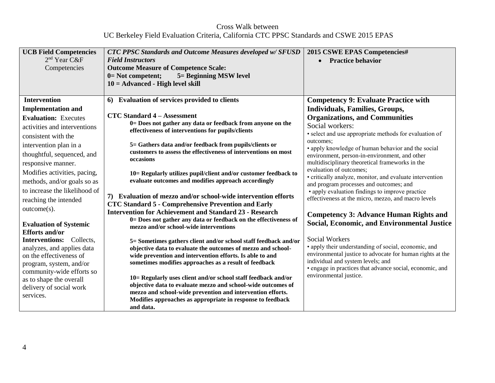Cross Walk between UC Berkeley Field Evaluation Criteria, California CTC PPSC Standards and CSWE 2015 EPAS

| <b>UCB Field Competencies</b><br>$2nd$ Year C&F<br>Competencies                                                                                                                                                                                                                                                                                                           | <b>CTC PPSC Standards and Outcome Measures developed w/ SFUSD</b><br><b>Field Instructors</b><br><b>Outcome Measure of Competence Scale:</b><br>0= Not competent;<br>5 = Beginning MSW level<br>$10 = Advanced - High level skill$                                                                                                                                                                                                                                                                                                                                                                                                                                                            | 2015 CSWE EPAS Competencies#<br><b>Practice behavior</b>                                                                                                                                                                                                                                                                                                                                                                                                                                                                                                                                                                                                                              |
|---------------------------------------------------------------------------------------------------------------------------------------------------------------------------------------------------------------------------------------------------------------------------------------------------------------------------------------------------------------------------|-----------------------------------------------------------------------------------------------------------------------------------------------------------------------------------------------------------------------------------------------------------------------------------------------------------------------------------------------------------------------------------------------------------------------------------------------------------------------------------------------------------------------------------------------------------------------------------------------------------------------------------------------------------------------------------------------|---------------------------------------------------------------------------------------------------------------------------------------------------------------------------------------------------------------------------------------------------------------------------------------------------------------------------------------------------------------------------------------------------------------------------------------------------------------------------------------------------------------------------------------------------------------------------------------------------------------------------------------------------------------------------------------|
| <b>Intervention</b>                                                                                                                                                                                                                                                                                                                                                       | 6) Evaluation of services provided to clients                                                                                                                                                                                                                                                                                                                                                                                                                                                                                                                                                                                                                                                 | <b>Competency 9: Evaluate Practice with</b>                                                                                                                                                                                                                                                                                                                                                                                                                                                                                                                                                                                                                                           |
| <b>Implementation and</b><br><b>Evaluation: Executes</b><br>activities and interventions<br>consistent with the<br>intervention plan in a<br>thoughtful, sequenced, and<br>responsive manner.<br>Modifies activities, pacing,<br>methods, and/or goals so as<br>to increase the likelihood of<br>reaching the intended<br>$outcome(s)$ .<br><b>Evaluation of Systemic</b> | <b>CTC Standard 4 – Assessment</b><br>0= Does not gather any data or feedback from anyone on the<br>effectiveness of interventions for pupils/clients<br>5= Gathers data and/or feedback from pupils/clients or<br>customers to assess the effectiveness of interventions on most<br>occasions<br>10= Regularly utilizes pupil/client and/or customer feedback to<br>evaluate outcomes and modifies approach accordingly<br>7) Evaluation of mezzo and/or school-wide intervention efforts<br><b>CTC Standard 5 - Comprehensive Prevention and Early</b><br><b>Intervention for Achievement and Standard 23 - Research</b><br>0= Does not gather any data or feedback on the effectiveness of | <b>Individuals, Families, Groups,</b><br><b>Organizations, and Communities</b><br>Social workers:<br>• select and use appropriate methods for evaluation of<br>outcomes:<br>• apply knowledge of human behavior and the social<br>environment, person-in-environment, and other<br>multidisciplinary theoretical frameworks in the<br>evaluation of outcomes;<br>• critically analyze, monitor, and evaluate intervention<br>and program processes and outcomes; and<br>• apply evaluation findings to improve practice<br>effectiveness at the micro, mezzo, and macro levels<br><b>Competency 3: Advance Human Rights and</b><br><b>Social, Economic, and Environmental Justice</b> |
| <b>Efforts and/or</b><br><b>Interventions:</b> Collects,<br>analyzes, and applies data<br>on the effectiveness of<br>program, system, and/or<br>community-wide efforts so<br>as to shape the overall<br>delivery of social work<br>services.                                                                                                                              | mezzo and/or school-wide interventions<br>5= Sometimes gathers client and/or school staff feedback and/or<br>objective data to evaluate the outcomes of mezzo and school-<br>wide prevention and intervention efforts. Is able to and<br>sometimes modifies approaches as a result of feedback<br>10= Regularly uses client and/or school staff feedback and/or<br>objective data to evaluate mezzo and school-wide outcomes of<br>mezzo and school-wide prevention and intervention efforts.<br>Modifies approaches as appropriate in response to feedback<br>and data.                                                                                                                      | <b>Social Workers</b><br>• apply their understanding of social, economic, and<br>environmental justice to advocate for human rights at the<br>individual and system levels; and<br>• engage in practices that advance social, economic, and<br>environmental justice.                                                                                                                                                                                                                                                                                                                                                                                                                 |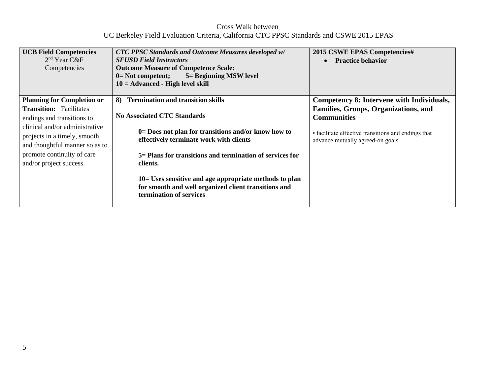Cross Walk between UC Berkeley Field Evaluation Criteria, California CTC PPSC Standards and CSWE 2015 EPAS

| <b>UCB Field Competencies</b><br>$2nd$ Year C&F<br>Competencies                                   | <b>CTC PPSC Standards and Outcome Measures developed w/</b><br><b>SFUSD Field Instructors</b><br><b>Outcome Measure of Competence Scale:</b><br>5 = Beginning MSW level<br>$0=$ Not competent;<br>$10 = Advanced - High level skill$ | 2015 CSWE EPAS Competencies#<br><b>Practice behavior</b><br>$\bullet$                    |
|---------------------------------------------------------------------------------------------------|--------------------------------------------------------------------------------------------------------------------------------------------------------------------------------------------------------------------------------------|------------------------------------------------------------------------------------------|
| <b>Planning for Completion or</b><br><b>Transition:</b> Facilitates                               | <b>Termination and transition skills</b><br>8)                                                                                                                                                                                       | Competency 8: Intervene with Individuals,<br>Families, Groups, Organizations, and        |
| endings and transitions to                                                                        | <b>No Associated CTC Standards</b>                                                                                                                                                                                                   | <b>Communities</b>                                                                       |
| clinical and/or administrative<br>projects in a timely, smooth,<br>and thoughtful manner so as to | $0=$ Does not plan for transitions and/or know how to<br>effectively terminate work with clients                                                                                                                                     | • facilitate effective transitions and endings that<br>advance mutually agreed-on goals. |
| promote continuity of care<br>and/or project success.                                             | 5 = Plans for transitions and termination of services for<br>clients.                                                                                                                                                                |                                                                                          |
|                                                                                                   | $10 =$ Uses sensitive and age appropriate methods to plan<br>for smooth and well organized client transitions and<br>termination of services                                                                                         |                                                                                          |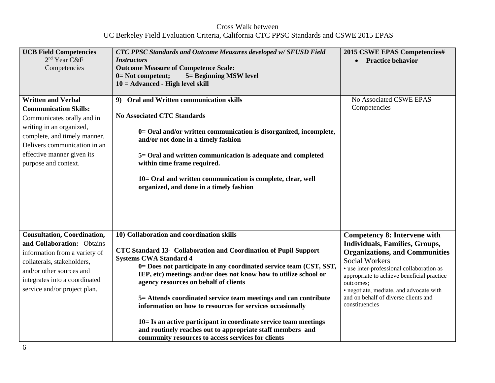Cross Walk between UC Berkeley Field Evaluation Criteria, California CTC PPSC Standards and CSWE 2015 EPAS

| <b>UCB Field Competencies</b><br>2 <sup>nd</sup> Year C&F<br>Competencies                                                                                                                                                                 | <b>CTC PPSC Standards and Outcome Measures developed w/ SFUSD Field</b><br>Instructors<br><b>Outcome Measure of Competence Scale:</b><br>5 = Beginning MSW level<br>0= Not competent;<br>$10 = Advanced - High level skill$                                                                                                                                                                                                                                                                                                                                                                                                                                  | 2015 CSWE EPAS Competencies#<br>• Practice behavior                                                                                                                                                                                                                                                                                                         |
|-------------------------------------------------------------------------------------------------------------------------------------------------------------------------------------------------------------------------------------------|--------------------------------------------------------------------------------------------------------------------------------------------------------------------------------------------------------------------------------------------------------------------------------------------------------------------------------------------------------------------------------------------------------------------------------------------------------------------------------------------------------------------------------------------------------------------------------------------------------------------------------------------------------------|-------------------------------------------------------------------------------------------------------------------------------------------------------------------------------------------------------------------------------------------------------------------------------------------------------------------------------------------------------------|
| <b>Written and Verbal</b><br><b>Communication Skills:</b><br>Communicates orally and in<br>writing in an organized,<br>complete, and timely manner.<br>Delivers communication in an<br>effective manner given its<br>purpose and context. | 9) Oral and Written communication skills<br><b>No Associated CTC Standards</b><br>0= Oral and/or written communication is disorganized, incomplete,<br>and/or not done in a timely fashion<br>5= Oral and written communication is adequate and completed<br>within time frame required.<br>10= Oral and written communication is complete, clear, well<br>organized, and done in a timely fashion                                                                                                                                                                                                                                                           | No Associated CSWE EPAS<br>Competencies                                                                                                                                                                                                                                                                                                                     |
| <b>Consultation, Coordination,</b><br>and Collaboration: Obtains<br>information from a variety of<br>collaterals, stakeholders,<br>and/or other sources and<br>integrates into a coordinated<br>service and/or project plan.              | 10) Collaboration and coordination skills<br>CTC Standard 13- Collaboration and Coordination of Pupil Support<br><b>Systems CWA Standard 4</b><br>0= Does not participate in any coordinated service team (CST, SST,<br>IEP, etc) meetings and/or does not know how to utilize school or<br>agency resources on behalf of clients<br>5= Attends coordinated service team meetings and can contribute<br>information on how to resources for services occasionally<br>$10 =$ Is an active participant in coordinate service team meetings<br>and routinely reaches out to appropriate staff members and<br>community resources to access services for clients | <b>Competency 8: Intervene with</b><br><b>Individuals, Families, Groups,</b><br><b>Organizations, and Communities</b><br><b>Social Workers</b><br>• use inter-professional collaboration as<br>appropriate to achieve beneficial practice<br>outcomes;<br>· negotiate, mediate, and advocate with<br>and on behalf of diverse clients and<br>constituencies |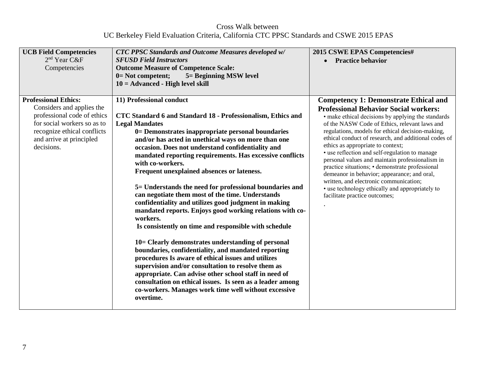Cross Walk between UC Berkeley Field Evaluation Criteria, California CTC PPSC Standards and CSWE 2015 EPAS

| <b>UCB Field Competencies</b><br>$2nd$ Year C&F<br>Competencies                                                                                                                                 | <b>CTC PPSC Standards and Outcome Measures developed w/</b><br><b>SFUSD Field Instructors</b><br><b>Outcome Measure of Competence Scale:</b><br>$0=$ Not competent;<br>5 = Beginning MSW level<br>$10 = Advanced - High level skill$                                                                                                                                                                                                                                                                                                                                                                                                                                                                                                                                                                                                                                                                                                                                                                                                                                                                                                          | 2015 CSWE EPAS Competencies#<br><b>Practice behavior</b><br>$\bullet$                                                                                                                                                                                                                                                                                                                                                                                                                                                                                                                                                                                                                     |
|-------------------------------------------------------------------------------------------------------------------------------------------------------------------------------------------------|-----------------------------------------------------------------------------------------------------------------------------------------------------------------------------------------------------------------------------------------------------------------------------------------------------------------------------------------------------------------------------------------------------------------------------------------------------------------------------------------------------------------------------------------------------------------------------------------------------------------------------------------------------------------------------------------------------------------------------------------------------------------------------------------------------------------------------------------------------------------------------------------------------------------------------------------------------------------------------------------------------------------------------------------------------------------------------------------------------------------------------------------------|-------------------------------------------------------------------------------------------------------------------------------------------------------------------------------------------------------------------------------------------------------------------------------------------------------------------------------------------------------------------------------------------------------------------------------------------------------------------------------------------------------------------------------------------------------------------------------------------------------------------------------------------------------------------------------------------|
| <b>Professional Ethics:</b><br>Considers and applies the<br>professional code of ethics<br>for social workers so as to<br>recognize ethical conflicts<br>and arrive at principled<br>decisions. | 11) Professional conduct<br>CTC Standard 6 and Standard 18 - Professionalism, Ethics and<br><b>Legal Mandates</b><br>0= Demonstrates inappropriate personal boundaries<br>and/or has acted in unethical ways on more than one<br>occasion. Does not understand confidentiality and<br>mandated reporting requirements. Has excessive conflicts<br>with co-workers.<br>Frequent unexplained absences or lateness.<br>5= Understands the need for professional boundaries and<br>can negotiate them most of the time. Understands<br>confidentiality and utilizes good judgment in making<br>mandated reports. Enjoys good working relations with co-<br>workers.<br>Is consistently on time and responsible with schedule<br>10 = Clearly demonstrates understanding of personal<br>boundaries, confidentiality, and mandated reporting<br>procedures Is aware of ethical issues and utilizes<br>supervision and/or consultation to resolve them as<br>appropriate. Can advise other school staff in need of<br>consultation on ethical issues. Is seen as a leader among<br>co-workers. Manages work time well without excessive<br>overtime. | <b>Competency 1: Demonstrate Ethical and</b><br><b>Professional Behavior Social workers:</b><br>• make ethical decisions by applying the standards<br>of the NASW Code of Ethics, relevant laws and<br>regulations, models for ethical decision-making,<br>ethical conduct of research, and additional codes of<br>ethics as appropriate to context;<br>• use reflection and self-regulation to manage<br>personal values and maintain professionalism in<br>practice situations; · demonstrate professional<br>demeanor in behavior; appearance; and oral,<br>written, and electronic communication;<br>• use technology ethically and appropriately to<br>facilitate practice outcomes; |